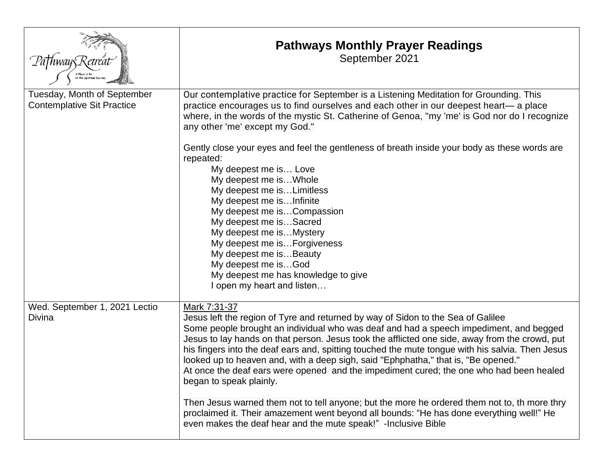|                                                                  | <b>Pathways Monthly Prayer Readings</b><br>September 2021                                                                                                                                                                                                                                                                                                                                                                                                                                                                                                                                                                                                                                                                                                                                                                                                                   |
|------------------------------------------------------------------|-----------------------------------------------------------------------------------------------------------------------------------------------------------------------------------------------------------------------------------------------------------------------------------------------------------------------------------------------------------------------------------------------------------------------------------------------------------------------------------------------------------------------------------------------------------------------------------------------------------------------------------------------------------------------------------------------------------------------------------------------------------------------------------------------------------------------------------------------------------------------------|
| Tuesday, Month of September<br><b>Contemplative Sit Practice</b> | Our contemplative practice for September is a Listening Meditation for Grounding. This<br>practice encourages us to find ourselves and each other in our deepest heart— a place<br>where, in the words of the mystic St. Catherine of Genoa, "my 'me' is God nor do I recognize<br>any other 'me' except my God."<br>Gently close your eyes and feel the gentleness of breath inside your body as these words are<br>repeated:<br>My deepest me is Love<br>My deepest me is Whole<br>My deepest me isLimitless<br>My deepest me isInfinite<br>My deepest me isCompassion<br>My deepest me isSacred<br>My deepest me is Mystery<br>My deepest me is Forgiveness<br>My deepest me isBeauty<br>My deepest me isGod<br>My deepest me has knowledge to give<br>I open my heart and listen                                                                                        |
| Wed. September 1, 2021 Lectio<br>Divina                          | Mark 7:31-37<br>Jesus left the region of Tyre and returned by way of Sidon to the Sea of Galilee<br>Some people brought an individual who was deaf and had a speech impediment, and begged<br>Jesus to lay hands on that person. Jesus took the afflicted one side, away from the crowd, put<br>his fingers into the deaf ears and, spitting touched the mute tongue with his salvia. Then Jesus<br>looked up to heaven and, with a deep sigh, said "Ephphatha," that is, "Be opened."<br>At once the deaf ears were opened and the impediment cured; the one who had been healed<br>began to speak plainly.<br>Then Jesus warned them not to tell anyone; but the more he ordered them not to, th more thry<br>proclaimed it. Their amazement went beyond all bounds: "He has done everything well!" He<br>even makes the deaf hear and the mute speak!" - Inclusive Bible |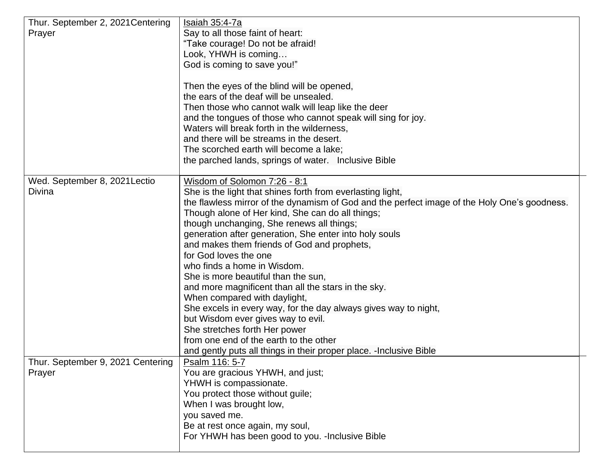| Thur. September 2, 2021 Centering<br>Prayer | Isaiah 35:4-7a<br>Say to all those faint of heart:<br>"Take courage! Do not be afraid!<br>Look, YHWH is coming<br>God is coming to save you!"<br>Then the eyes of the blind will be opened,<br>the ears of the deaf will be unsealed.<br>Then those who cannot walk will leap like the deer<br>and the tongues of those who cannot speak will sing for joy.<br>Waters will break forth in the wilderness,<br>and there will be streams in the desert.<br>The scorched earth will become a lake;<br>the parched lands, springs of water. Inclusive Bible                                                                                                                                                                                                                                                                                               |
|---------------------------------------------|-------------------------------------------------------------------------------------------------------------------------------------------------------------------------------------------------------------------------------------------------------------------------------------------------------------------------------------------------------------------------------------------------------------------------------------------------------------------------------------------------------------------------------------------------------------------------------------------------------------------------------------------------------------------------------------------------------------------------------------------------------------------------------------------------------------------------------------------------------|
| Wed. September 8, 2021 Lectio<br>Divina     | Wisdom of Solomon 7:26 - 8:1<br>She is the light that shines forth from everlasting light,<br>the flawless mirror of the dynamism of God and the perfect image of the Holy One's goodness.<br>Though alone of Her kind, She can do all things;<br>though unchanging, She renews all things;<br>generation after generation, She enter into holy souls<br>and makes them friends of God and prophets,<br>for God loves the one<br>who finds a home in Wisdom.<br>She is more beautiful than the sun,<br>and more magnificent than all the stars in the sky.<br>When compared with daylight,<br>She excels in every way, for the day always gives way to night,<br>but Wisdom ever gives way to evil.<br>She stretches forth Her power<br>from one end of the earth to the other<br>and gently puts all things in their proper place. - Inclusive Bible |
| Thur. September 9, 2021 Centering<br>Prayer | Psalm 116: 5-7<br>You are gracious YHWH, and just;<br>YHWH is compassionate.<br>You protect those without guile;<br>When I was brought low,<br>you saved me.<br>Be at rest once again, my soul,<br>For YHWH has been good to you. - Inclusive Bible                                                                                                                                                                                                                                                                                                                                                                                                                                                                                                                                                                                                   |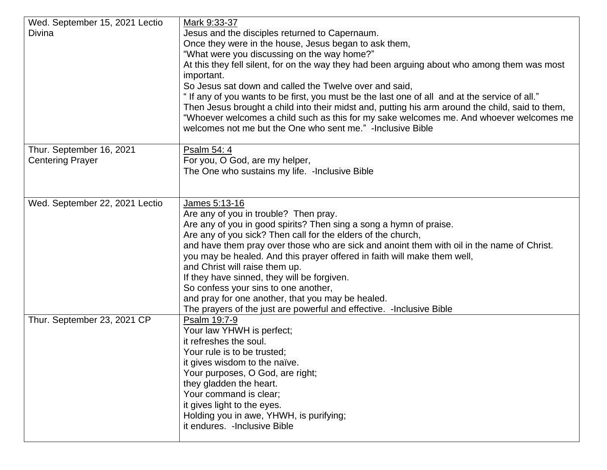| Wed. September 15, 2021 Lectio | Mark 9:33-37                                                                                     |
|--------------------------------|--------------------------------------------------------------------------------------------------|
| Divina                         | Jesus and the disciples returned to Capernaum.                                                   |
|                                | Once they were in the house, Jesus began to ask them,                                            |
|                                | "What were you discussing on the way home?"                                                      |
|                                | At this they fell silent, for on the way they had been arguing about who among them was most     |
|                                | important.                                                                                       |
|                                | So Jesus sat down and called the Twelve over and said,                                           |
|                                | "If any of you wants to be first, you must be the last one of all and at the service of all."    |
|                                | Then Jesus brought a child into their midst and, putting his arm around the child, said to them, |
|                                | "Whoever welcomes a child such as this for my sake welcomes me. And whoever welcomes me          |
|                                | welcomes not me but the One who sent me." -Inclusive Bible                                       |
| Thur. September 16, 2021       | Psalm 54: 4                                                                                      |
| <b>Centering Prayer</b>        | For you, O God, are my helper,                                                                   |
|                                | The One who sustains my life. - Inclusive Bible                                                  |
|                                |                                                                                                  |
|                                |                                                                                                  |
| Wed. September 22, 2021 Lectio | James 5:13-16                                                                                    |
|                                | Are any of you in trouble? Then pray.                                                            |
|                                | Are any of you in good spirits? Then sing a song a hymn of praise.                               |
|                                | Are any of you sick? Then call for the elders of the church,                                     |
|                                | and have them pray over those who are sick and anoint them with oil in the name of Christ.       |
|                                | you may be healed. And this prayer offered in faith will make them well,                         |
|                                | and Christ will raise them up.                                                                   |
|                                | If they have sinned, they will be forgiven.<br>So confess your sins to one another,              |
|                                | and pray for one another, that you may be healed.                                                |
|                                | The prayers of the just are powerful and effective. - Inclusive Bible                            |
| Thur. September 23, 2021 CP    | Psalm 19:7-9                                                                                     |
|                                | Your law YHWH is perfect;                                                                        |
|                                | it refreshes the soul.                                                                           |
|                                | Your rule is to be trusted;                                                                      |
|                                | it gives wisdom to the naïve.                                                                    |
|                                | Your purposes, O God, are right;                                                                 |
|                                | they gladden the heart.                                                                          |
|                                | Your command is clear;                                                                           |
|                                | it gives light to the eyes.                                                                      |
|                                | Holding you in awe, YHWH, is purifying;                                                          |
|                                | it endures. - Inclusive Bible                                                                    |
|                                |                                                                                                  |